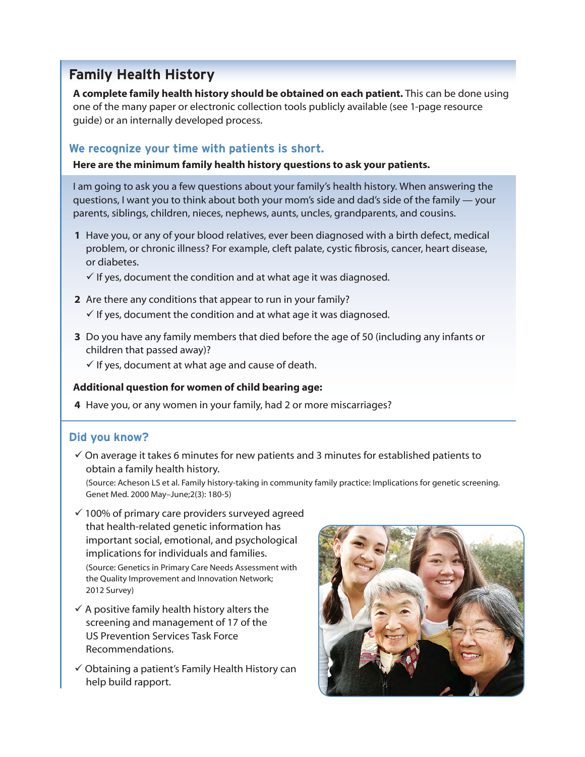# **Family Health History**

**A complete family health history should be obtained on each patient.** This can be done using one of the many paper or electronic collection tools publicly available (see 1-page resource guide) or an internally developed process.

### **We recognize your time with patients is short.**

#### **Here are the minimum family health history questions to ask your patients.**

I am going to ask you a few questions about your family's health history. When answering the questions, I want you to think about both your mom's side and dad's side of the family — your parents, siblings, children, nieces, nephews, aunts, uncles, grandparents, and cousins.

- **1** Have you, or any of your blood relatives, ever been diagnosed with a birth defect, medical problem, or chronic illness? For example, cleft palate, cystic fibrosis, cancer, heart disease, or diabetes.
	- $\checkmark$  If yes, document the condition and at what age it was diagnosed.
- **2** Are there any conditions that appear to run in your family?  $\checkmark$  If yes, document the condition and at what age it was diagnosed.
- **3** Do you have any family members that died before the age of 50 (including any infants or children that passed away)?
	- $\checkmark$  If yes, document at what age and cause of death.

#### **Additional question for women of child bearing age:**

**4** Have you, or any women in your family, had 2 or more miscarriages?

### **Did you know?**

 $\checkmark$  On average it takes 6 minutes for new patients and 3 minutes for established patients to obtain a family health history.

(Source: Acheson LS et al. Family history-taking in community family practice: Implications for genetic screening. Genet Med. 2000 May–June;2(3): 180-5)

- $\checkmark$  100% of primary care providers surveyed agreed that health-related genetic information has important social, emotional, and psychological implications for individuals and families. (Source: Genetics in Primary Care Needs Assessment with the Quality Improvement and Innovation Network; 2012 Survey)
- $\checkmark$  A positive family health history alters the screening and management of 17 of the US Prevention Services Task Force Recommendations.
- $\checkmark$  Obtaining a patient's Family Health History can help build rapport.